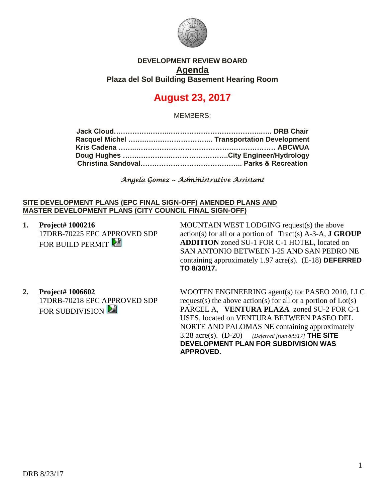

## **DEVELOPMENT REVIEW BOARD Agenda Plaza del Sol Building Basement Hearing Room**

# **August 23, 2017**

MEMBERS:

*Angela Gomez ~ Administrative Assistant* 

#### **SITE DEVELOPMENT PLANS (EPC FINAL SIGN-OFF) AMENDED PLANS AND MASTER DEVELOPMENT PLANS (CITY COUNCIL FINAL SIGN-OFF)**

**1. Project# 1000216** 17DRB-70225 EPC APPROVED SDP FOR BUILD PERMIT

MOUNTAIN WEST LODGING request(s) the above action(s) for all or a portion of Tract(s) A-3-A, **J GROUP ADDITION** zoned SU-1 FOR C-1 HOTEL, located on SAN ANTONIO BETWEEN I-25 AND SAN PEDRO NE containing approximately 1.97 acre(s). (E-18) **DEFERRED TO 8/30/17.**

**2. Project# 1006602** 17DRB-70218 EPC APPROVED SDP FOR SUBDIVISION **2** 

WOOTEN ENGINEERING agent(s) for PASEO 2010, LLC request(s) the above action(s) for all or a portion of Lot(s) PARCEL A, **VENTURA PLAZA** zoned SU-2 FOR C-1 USES, located on VENTURA BETWEEN PASEO DEL NORTE AND PALOMAS NE containing approximately 3.28 acre(s). (D-20) *[Deferred from 8/9/17]* **THE SITE DEVELOPMENT PLAN FOR SUBDIVISION WAS APPROVED.**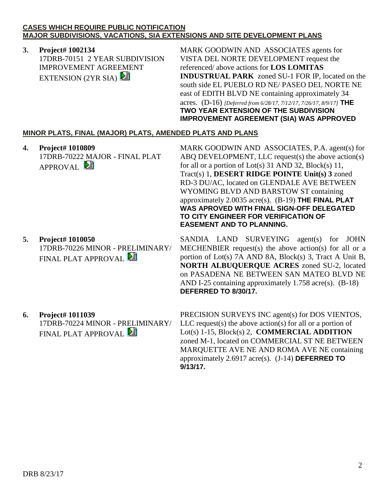#### **CASES WHICH REQUIRE PUBLIC NOTIFICATION MAJOR SUBDIVISIONS, VACATIONS, SIA EXTENSIONS AND SITE DEVELOPMENT PLANS**

## **3. Project# 1002134**

17DRB-70151 2 YEAR SUBDIVISION IMPROVEMENT AGREEMENT EXTENSION  $(2YR SIA)$ 

MARK GOODWIN AND ASSOCIATES agents for VISTA DEL NORTE DEVELOPMENT request the referenced/ above actions for **LOS LOMITAS INDUSTRUAL PARK** zoned SU-1 FOR IP, located on the south side EL PUEBLO RD NE/ PASEO DEL NORTE NE east of EDITH BLVD NE containing approximately 34 acres. (D-16) *[Deferred from 6/28/17, 7/12/17, 7/26/17, 8/9/17]* **THE TWO YEAR EXTENSION OF THE SUBDIVISION IMPROVEMENT AGREEMENT (SIA) WAS APPROVED**

## **MINOR PLATS, FINAL (MAJOR) PLATS, AMENDED PLATS AND PLANS**

**4. Project# 1010809** 17DRB-70222 MAJOR - FINAL PLAT APPROVAL

**5. Project# 1010050** 17DRB-70226 MINOR - PRELIMINARY/ FINAL PLAT APPROVAL

MARK GOODWIN AND ASSOCIATES, P.A. agent(s) for ABQ DEVELOPMENT, LLC request(s) the above action(s) for all or a portion of Lot(s) 31 AND 32, Block(s) 11, Tract(s) 1, **DESERT RIDGE POINTE Unit(s) 3** zoned RD-3 DU/AC, located on GLENDALE AVE BETWEEN WYOMING BLVD AND BARSTOW ST containing approximately 2.0035 acre(s). (B-19) **THE FINAL PLAT WAS APROVED WITH FINAL SIGN-OFF DELEGATED TO CITY ENGINEER FOR VERIFICATION OF EASEMENT AND TO PLANNING.**

SANDIA LAND SURVEYING agent(s) for JOHN MECHENBIER request(s) the above action(s) for all or a portion of Lot(s) 7A AND 8A, Block(s) 3, Tract A Unit B, **NORTH ALBUQUERQUE ACRES** zoned SU-2, located on PASADENA NE BETWEEN SAN MATEO BLVD NE AND I-25 containing approximately 1.758 acre(s). (B-18) **DEFERRED TO 8/30/17.**

**6. Project# 1011039** 17DRB-70224 MINOR - PRELIMINARY/ FINAL PLAT APPROVAL

PRECISION SURVEYS INC agent(s) for DOS VIENTOS, LLC request(s) the above action(s) for all or a portion of Lot(s) 1-15, Block(s) 2, **COMMERCIAL ADDITION** zoned M-1, located on COMMERCIAL ST NE BETWEEN MARQUETTE AVE NE AND ROMA AVE NE containing approximately 2.6917 acre(s). (J-14) **DEFERRED TO 9/13/17.**